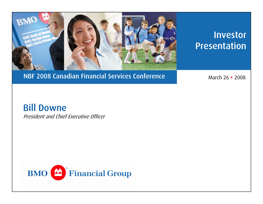

# Investor **Presentation**

### NBF 2008 Canadian Financial Services Conference

**e** 2008 March 26 • 2008

### Bill Downe

President and Chief Executive Officer

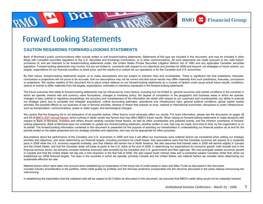

### Forward Looking Statements

#### **CAUTION REGARDING FORWARD-LOOKING STATEMENTS**

Bank of Montreal's public communications often include written or oral forward-looking statements. Statements of this type are included in this document, and may be included in other filings with Canadian securities regulators or the U.S. Securities and Exchange Commission, or in other communications. All such statements are made pursuant to the 'safe harbor' provisions of, and are intended to be forward-looking statements under, the United States Private Securities Litigation Reform Act of 1995 and any applicable Canadian securities legislation. Forward-looking statements may involve, but are not limited to, comments with respect to our objectives and priorities for 2008 and beyond, our strategies or future actions, our targets, expectations for our financial condition or share price, and the results of or outlook for our operations or for the Canadian and U.S. economies.

By their nature, forward-looking statements require us to make assumptions and are subject to inherent risks and uncertainties. There is significant risk that predictions, forecasts, conclusions or projections will not prove to be accurate, that our assumptions may not be correct and that actual results may differ materially from such predictions, forecasts, conclusions or projections. We caution readers of this document not to place undue reliance on our forward-looking statements as a number of factors could cause actual future results, conditions, actions or events to differ materially from the targets, expectations, estimates or intentions expressed in the forward-looking statements.

The future outcomes that relate to forward-looking statements may be influenced by many factors, including but not limited to: general economic and market conditions in the countries in which we operate; interest rate and currency value fluctuations; changes in monetary policy; the degree of competition in the geographic and business areas in which we operate; changes in laws; judicial or regulatory proceedings; the accuracy and completeness of the information we obtain with respect to our customers and counterparties; our ability to execute our strategic plans and to complete and integrate acquisitions; critical accounting estimates; operational and infrastructure risks; general political conditions; global capital market activities; the possible effects on our business of war or terrorist activities; disease or illness that impacts on local, national or international economies; disruptions to public infrastructure, such as transportation, communications, power or water supply; and technological changes.

We caution that the foregoing list is not exhaustive of all possible factors. Other factors could adversely affect our results. For more information, please see the discussion on pages 28 and 29 of BMO's 2007 Annual Report, which outlines in detail certain key factors that may affect BMO's future results. When relying on forward-looking statements to make decisions with respect to Bank of Montreal, investors and others should carefully consider these factors, as well as other uncertainties and potential events, and the inherent uncertainty of forwardlooking statements. Bank of Montreal does not undertake to update any forward-looking statement, whether written or oral, that may be made, from time to time, by the organization or on its behalf. The forward-looking information contained in this document is presented for the purpose of assisting our shareholders in understanding our financial position as at and for the periods ended on the dates presented and our strategic priorities and objectives, and may not be appropriate for other purposes.

Assumptions about the performance of the Canadian and U.S. economies in 2008 and how it will affect our businesses were material factors we considered when setting our strategic priorities and objectives, and when determining our financial targets, including provisions for credit losses. Key assumptions were that the Canadian economy will expand at a moderate pace in 2008 while the U.S. economy expands modestly, and that inflation will remain low in North America. We also assumed that interest rates in 2008 will decline slightly in Canada and the United States, and that the Canadian dollar will trade at parity to the U.S. dollar at the end of 2008. In determining our expectations for economic growth, both broadly and in the financial services sector, we primarily consider historical economic data provided by the Canadian and U.S. governments and their agencies. We now anticipate weaker economic growth in Canada and that the United States will slip into a mild recession in the first half of 2008. We also expect lower interest rates and a somewhat weaker Canadian dollar than when we established our 2008 financial targets. Tax laws in the countries in which we operate, primarily Canada and the United States, are material factors we consider when determining our sustainable effective tax rate.

Material factors which were taken into account when establishing our expectation of the future risk of credit losses in Apex and Sitka Trusts as discussed in this document included industry diversification in the portfolio, initial credit quality by portfolio and the first-loss protection incorporated into the structure discussed in the press release announcing the restructuring.

In establishing the expectation that the collateral calls will be capped at \$3.3 billion as discussed in this document, we assumed that BMO's credit rating would not be materially lowered.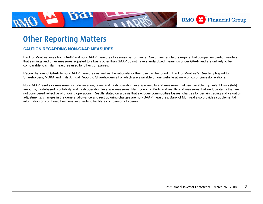

### Other Reporting Matters

#### **CAUTION REGARDING NON-GAAP MEASURES**

Bank of Montreal uses both GAAP and non-GAAP measures to assess performance. Securities regulators require that companies caution readers that earnings and other measures adjusted to a basis other than GAAP do not have standardized meanings under GAAP and are unlikely to be comparable to similar measures used by other companies.

Reconciliations of GAAP to non-GAAP measures as well as the rationale for their use can be found in Bank of Montreal's Quarterly Report to Shareholders, MD&A and in its Annual Report to Shareholders all of which are available on our website at www.bmo.com/investorrelations.

Non-GAAP results or measures include revenue, taxes and cash operating leverage results and measures that use Taxable Equivalent Basis (teb) amounts, cash-based profitability and cash operating leverage measures, Net Economic Profit and results and measures that exclude items that are not considered reflective of ongoing operations. Results stated on a basis that excludes commodities losses, charges for certain trading and valuation adjustments, changes in the general allowance and restructuring charges are non-GAAP measures. Bank of Montreal also provides supplemental information on combined business segments to facilitate comparisons to peers.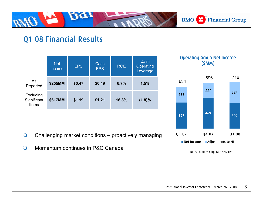**BMO** Financial Group

### Q1 08 Financial Results

Da

|                                   | <b>Net</b><br>Income | <b>EPS</b> | Cash<br><b>EPS</b> | <b>ROE</b> | Cash<br>Operating<br>Leverage |
|-----------------------------------|----------------------|------------|--------------------|------------|-------------------------------|
| As<br>Reported                    | \$255MM              | \$0.47     | \$0.49             | 6.7%       | 1.5%                          |
| Excluding<br>Significant<br>Items | \$617MM              | \$1.19     | \$1.21             | 16.8%      | $(1.8)\%$                     |

- $\bigcirc$ Challenging market conditions – proactively managing
- $\bigcirc$ Momentum continues in P&C Canada





Note: Excludes Corporate Services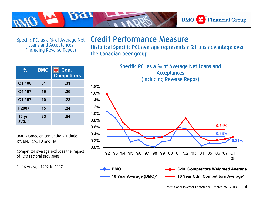Specific PCL as a % of Average Net Loans and Acceptances (including Reverse Repos)

### Credit Performance Measure

Historical Specific PCL average represents a 21 bps advantage over the Canadian peer group

**BMO** Financial Group

**%BMO Cdn. Competitors Q1 / 08 .31 .31 Q4 / 07 .19 .26 Q1 / 07 .10 .23 F2007 .15 .24 16 yr avg. \* .33.54**

BMO's Canadian competitors include: RY, BNS, CM, TD and NA

Competitor average excludes the impact of TD's sectoral provisions



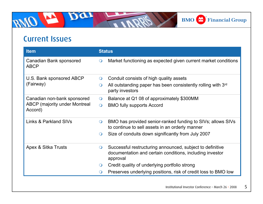### Current Issues

Dar

| <b>Item</b>                                     | <b>Status</b>                                                                                                                                |  |  |
|-------------------------------------------------|----------------------------------------------------------------------------------------------------------------------------------------------|--|--|
| Canadian Bank sponsored<br><b>ABCP</b>          | Market functioning as expected given current market conditions<br>$\bigcirc$                                                                 |  |  |
| U.S. Bank sponsored ABCP                        | Conduit consists of high quality assets<br>$\bigcirc$                                                                                        |  |  |
| (Fairway)                                       | All outstanding paper has been consistently rolling with $3rd$<br>$\circ$<br>party investors                                                 |  |  |
| Canadian non-bank sponsored                     | Balance at Q1 08 of approximately \$300MM<br>$\bigcirc$                                                                                      |  |  |
| <b>ABCP</b> (majority under Montreal<br>Accord) | <b>BMO fully supports Accord</b><br>$\overline{O}$                                                                                           |  |  |
| Links & Parkland SIVs                           | BMO has provided senior-ranked funding to SIVs; allows SIVs<br>$\bullet$<br>to continue to sell assets in an orderly manner                  |  |  |
|                                                 | Size of conduits down significantly from July 2007<br>$\bigcirc$                                                                             |  |  |
| Apex & Sitka Trusts                             | Successful restructuring announced, subject to definitive<br>$\circ$<br>documentation and certain conditions, including investor<br>approval |  |  |
|                                                 | Credit quality of underlying portfolio strong<br>$\circ$                                                                                     |  |  |
|                                                 | Preserves underlying positions, risk of credit loss to BMO low<br>$\bigcirc$                                                                 |  |  |
|                                                 |                                                                                                                                              |  |  |

**BMO** Financial Group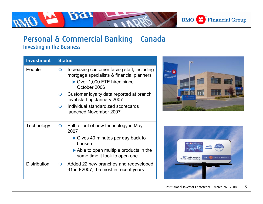#### **BMO** Financial Group

# Personal & Commercial Banking – Canada

Da

Investing in the Business

| <b>Investment</b>   | <b>Status</b> |                                                                                                                                        |  |
|---------------------|---------------|----------------------------------------------------------------------------------------------------------------------------------------|--|
| People              | $\bullet$     | Increasing customer facing staff, including<br>mortgage specialists & financial planners<br>Over 1,000 FTE hired since<br>October 2006 |  |
|                     | $\Omega$      | Customer loyalty data reported at branch<br>level starting January 2007                                                                |  |
|                     | $\Omega$      | Individual standardized scorecards<br>launched November 2007                                                                           |  |
| Technology          | $\bigcirc$    | Full rollout of new technology in May<br>2007                                                                                          |  |
|                     |               | $\triangleright$ Gives 40 minutes per day back to<br>bankers                                                                           |  |
|                     |               | $\triangleright$ Able to open multiple products in the<br>same time it took to open one                                                |  |
| <b>Distribution</b> | $\bigcirc$    | Added 22 new branches and redeveloped<br>31 in F2007, the most in recent years                                                         |  |
|                     |               |                                                                                                                                        |  |



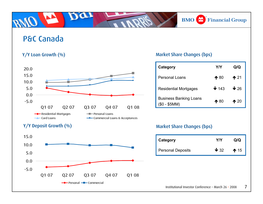**BMO** Financial Group

### P&C Canada



#### Y/Y Deposit Growth (%)



#### Y/Y Loan Growth (%) and Market Share Changes (bps)

| Category                                       | Y/Y              | Q/Q                   |
|------------------------------------------------|------------------|-----------------------|
| Personal Loans                                 | $\bigwedge$ 80   | $\mathbf{\hat{r}}$ 21 |
| <b>Residential Mortgages</b>                   | $\downarrow$ 143 | $\mathbf{\Psi}$ 26    |
| <b>Business Banking Loans</b><br>(\$0 - \$5MM) | $\bigwedge$ 80   | $\bigwedge$ 20        |

#### Market Share Changes (bps)

| <b>Category</b>   | YN          | Q/Q             |
|-------------------|-------------|-----------------|
| Personal Deposits | $\sqrt{32}$ | $\spadesuit$ 15 |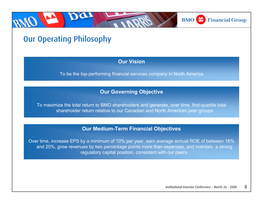

## Our Operating Philosophy

#### **Our Vision**

To be the top-performing financial services company in North America

#### **Our Governing Objective**

To maximize the total return to BMO shareholders and generate, over time, first-quartile total shareholder return relative to our Canadian and North American peer groups

#### **Our Medium-Term Financial Objectives**

Over time, increase EPS by a minimum of 10% per year, earn average annual ROE of between 18% and 20%, grow revenues by two percentage points more than expenses, and maintain a strong regulatory capital position, consistent with our peers.